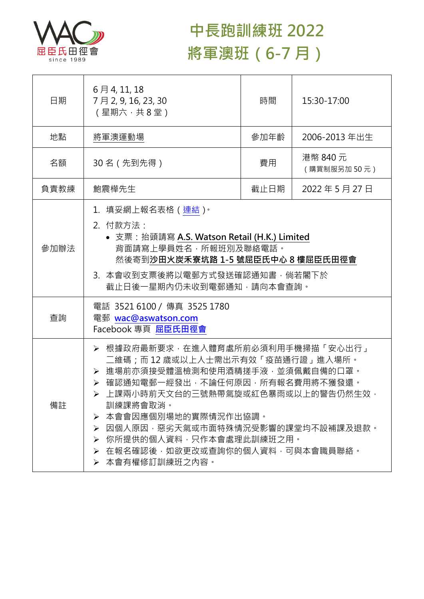

## **中長跑訓練班 2022 將軍澳班(6-7 月)**

| 日期   | 6月4,11,18<br>7月2,9,16,23,30<br>(星期六,共8堂)                                                                                                                                                                                                                                                                                                               | 時間   | 15:30-17:00             |  |
|------|--------------------------------------------------------------------------------------------------------------------------------------------------------------------------------------------------------------------------------------------------------------------------------------------------------------------------------------------------------|------|-------------------------|--|
| 地點   | 將軍澳運動場                                                                                                                                                                                                                                                                                                                                                 | 參加年齡 | 2006-2013 年出生           |  |
| 名額   | 30 名 (先到先得)                                                                                                                                                                                                                                                                                                                                            | 費用   | 港幣 840 元<br>(購買制服另加50元) |  |
| 負責教練 | 鮑震樺先生                                                                                                                                                                                                                                                                                                                                                  | 截止日期 | 2022年5月27日              |  |
| 參加辦法 | 1.填妥網上報名表格(連結) <sup>。</sup><br>2. 付款方法:<br>• 支票: 抬頭請寫 A.S. Watson Retail (H.K.) Limited<br>背面請寫上學員姓名,所報班別及聯絡電話。<br>然後寄到沙田火炭禾寮坑路 1-5 號屈臣氏中心 8 樓屈臣氏田徑會<br>3. 本會收到支票後將以電郵方式發送確認通知書,倘若閣下於<br>截止日後一星期內仍未收到電郵通知,請向本會查詢。                                                                                                                                      |      |                         |  |
| 查詢   | 電話 3521 6100 / 傳真 3525 1780<br>電郵 wac@aswatson.com<br>Facebook 專頁 屈臣氏田徑會                                                                                                                                                                                                                                                                               |      |                         |  |
| 備註   | ▶ 根據政府最新要求,在進入體育處所前必須利用手機掃描「安心出行」<br>二維碼﹔而 12 歳或以上人士需出示有效「疫苗通行證」進入場所。<br>▶ 進場前亦須接受體溫檢測和使用酒精搓手液·並須佩戴自備的口罩。<br>▶ 確認通知電郵一經發出,不論任何原因,所有報名費用將不獲發還。<br>上課兩小時前天文台的三號熱帶氣旋或紅色暴雨或以上的警告仍然生效,<br>訓練課將會取消。<br>本會會因應個別場地的實際情況作出協調。<br>➤<br>因個人原因‧惡劣天氣或市面特殊情況受影響的課堂均不設補課及退款。<br>➤<br>> 你所提供的個人資料,只作本會處理此訓練班之用。<br>▶ 在報名確認後,如欲更改或查詢你的個人資料,可與本會職員聯絡。<br>▶ 本會有權修訂訓練班之內容。 |      |                         |  |